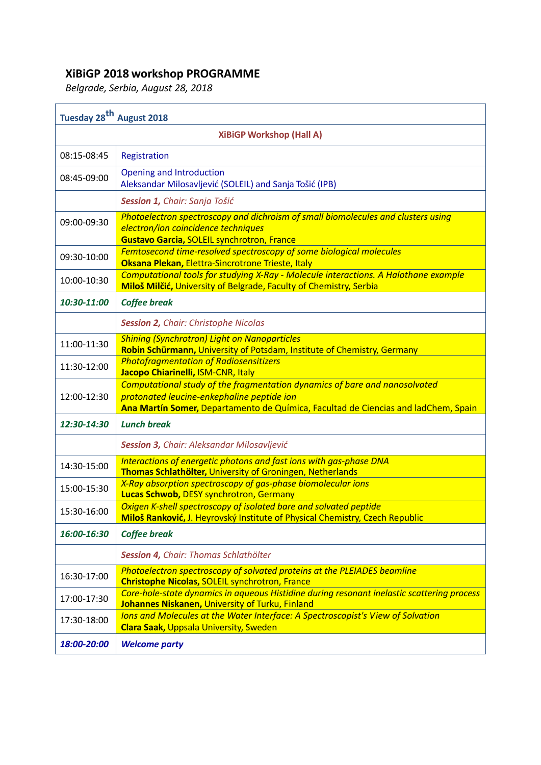## **XiBiGP 2018 workshop PROGRAMME**

*Belgrade, Serbia, August 28, 2018*

| Tuesday 28 <sup>th</sup> August 2018 |                                                                                                                                                                                                                |  |  |  |
|--------------------------------------|----------------------------------------------------------------------------------------------------------------------------------------------------------------------------------------------------------------|--|--|--|
| <b>XiBiGP Workshop (Hall A)</b>      |                                                                                                                                                                                                                |  |  |  |
| 08:15-08:45                          | Registration                                                                                                                                                                                                   |  |  |  |
| 08:45-09:00                          | <b>Opening and Introduction</b><br>Aleksandar Milosavljević (SOLEIL) and Sanja Tošić (IPB)                                                                                                                     |  |  |  |
|                                      | Session 1, Chair: Sanja Tošić                                                                                                                                                                                  |  |  |  |
| 09:00-09:30                          | Photoelectron spectroscopy and dichroism of small biomolecules and clusters using<br>electron/ion coincidence techniques<br><b>Gustavo Garcia, SOLEIL synchrotron, France</b>                                  |  |  |  |
| 09:30-10:00                          | Femtosecond time-resolved spectroscopy of some biological molecules<br>Oksana Plekan, Elettra-Sincrotrone Trieste, Italy                                                                                       |  |  |  |
| 10:00-10:30                          | Computational tools for studying X-Ray - Molecule interactions. A Halothane example<br>Miloš Milčić, University of Belgrade, Faculty of Chemistry, Serbia                                                      |  |  |  |
| 10:30-11:00                          | <b>Coffee break</b>                                                                                                                                                                                            |  |  |  |
|                                      | <b>Session 2, Chair: Christophe Nicolas</b>                                                                                                                                                                    |  |  |  |
| 11:00-11:30                          | <b>Shining (Synchrotron) Light on Nanoparticles</b><br>Robin Schürmann, University of Potsdam, Institute of Chemistry, Germany                                                                                 |  |  |  |
| 11:30-12:00                          | <b>Photofragmentation of Radiosensitizers</b><br>Jacopo Chiarinelli, ISM-CNR, Italy                                                                                                                            |  |  |  |
| 12:00-12:30                          | Computational study of the fragmentation dynamics of bare and nanosolvated<br>protonated leucine-enkephaline peptide ion<br>Ana Martín Somer, Departamento de Química, Facultad de Ciencias and ladChem, Spain |  |  |  |
| 12:30-14:30                          | <b>Lunch break</b>                                                                                                                                                                                             |  |  |  |
|                                      | Session 3, Chair: Aleksandar Milosavljević                                                                                                                                                                     |  |  |  |
| 14:30-15:00                          | Interactions of energetic photons and fast ions with gas-phase DNA<br>Thomas Schlathölter, University of Groningen, Netherlands                                                                                |  |  |  |
| 15:00-15:30                          | X-Ray absorption spectroscopy of gas-phase biomolecular ions<br>Lucas Schwob, DESY synchrotron, Germany                                                                                                        |  |  |  |
| 15:30-16:00                          | Oxigen K-shell spectroscopy of isolated bare and solvated peptide<br>Miloš Ranković, J. Heyrovský Institute of Physical Chemistry, Czech Republic                                                              |  |  |  |
| 16:00-16:30                          | <b>Coffee break</b>                                                                                                                                                                                            |  |  |  |
|                                      | Session 4, Chair: Thomas Schlathölter                                                                                                                                                                          |  |  |  |
| 16:30-17:00                          | Photoelectron spectroscopy of solvated proteins at the PLEIADES beamline<br><b>Christophe Nicolas, SOLEIL synchrotron, France</b>                                                                              |  |  |  |
| 17:00-17:30                          | Core-hole-state dynamics in aqueous Histidine during resonant inelastic scattering process<br>Johannes Niskanen, University of Turku, Finland                                                                  |  |  |  |
| 17:30-18:00                          | Ions and Molecules at the Water Interface: A Spectroscopist's View of Solvation<br><b>Clara Saak, Uppsala University, Sweden</b>                                                                               |  |  |  |
| 18:00-20:00                          | <b>Welcome party</b>                                                                                                                                                                                           |  |  |  |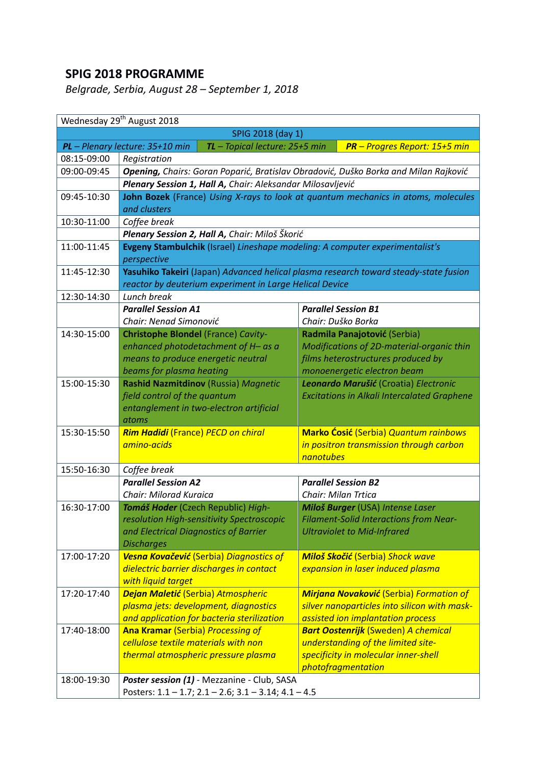## **SPIG 2018 PROGRAMME**

*Belgrade, Serbia, August 28 – September 1, 2018*

|                   | Wednesday 29 <sup>th</sup> August 2018                                               |                                                                                 |  |  |  |
|-------------------|--------------------------------------------------------------------------------------|---------------------------------------------------------------------------------|--|--|--|
| SPIG 2018 (day 1) |                                                                                      |                                                                                 |  |  |  |
|                   | PL - Plenary lecture: 35+10 min<br>TL - Topical lecture: 25+5 min                    | <b>PR</b> - Progres Report: 15+5 min                                            |  |  |  |
| 08:15-09:00       | Registration                                                                         |                                                                                 |  |  |  |
| 09:00-09:45       | Opening, Chairs: Goran Poparić, Bratislav Obradović, Duško Borka and Milan Rajković  |                                                                                 |  |  |  |
|                   | Plenary Session 1, Hall A, Chair: Aleksandar Milosavljević                           |                                                                                 |  |  |  |
| 09:45-10:30       | John Bozek (France) Using X-rays to look at quantum mechanics in atoms, molecules    |                                                                                 |  |  |  |
|                   | and clusters                                                                         |                                                                                 |  |  |  |
| 10:30-11:00       | Coffee break                                                                         |                                                                                 |  |  |  |
|                   | Plenary Session 2, Hall A, Chair: Miloš Škorić                                       |                                                                                 |  |  |  |
| 11:00-11:45       | Evgeny Stambulchik (Israel) Lineshape modeling: A computer experimentalist's         |                                                                                 |  |  |  |
|                   | perspective                                                                          |                                                                                 |  |  |  |
| 11:45-12:30       | Yasuhiko Takeiri (Japan) Advanced helical plasma research toward steady-state fusion |                                                                                 |  |  |  |
|                   | reactor by deuterium experiment in Large Helical Device                              |                                                                                 |  |  |  |
| 12:30-14:30       | Lunch break                                                                          |                                                                                 |  |  |  |
|                   | <b>Parallel Session A1</b>                                                           | <b>Parallel Session B1</b>                                                      |  |  |  |
|                   | Chair: Nenad Simonović                                                               | Chair: Duško Borka                                                              |  |  |  |
| 14:30-15:00       | <b>Christophe Blondel (France) Cavity-</b>                                           | Radmila Panajotović (Serbia)                                                    |  |  |  |
|                   | enhanced photodetachment of H- as a<br>means to produce energetic neutral            | Modifications of 2D-material-organic thin<br>films heterostructures produced by |  |  |  |
|                   | beams for plasma heating                                                             | monoenergetic electron beam                                                     |  |  |  |
| 15:00-15:30       | Rashid Nazmitdinov (Russia) Magnetic                                                 | Leonardo Marušić (Croatia) Electronic                                           |  |  |  |
|                   | field control of the quantum                                                         | <b>Excitations in Alkali Intercalated Graphene</b>                              |  |  |  |
|                   | entanglement in two-electron artificial                                              |                                                                                 |  |  |  |
|                   | atoms                                                                                |                                                                                 |  |  |  |
| 15:30-15:50       | <b>Rim Hadidi</b> (France) PECD on chiral                                            | <b>Marko Ćosić</b> (Serbia) Quantum rainbows                                    |  |  |  |
|                   | amino-acids                                                                          | in positron transmission through carbon                                         |  |  |  |
|                   |                                                                                      | nanotubes                                                                       |  |  |  |
| 15:50-16:30       | Coffee break                                                                         |                                                                                 |  |  |  |
|                   | <b>Parallel Session A2</b>                                                           | <b>Parallel Session B2</b>                                                      |  |  |  |
|                   | Chair: Milorad Kuraica                                                               | <b>Chair: Milan Trtica</b>                                                      |  |  |  |
| 16:30-17:00       | Tomáš Hoder (Czech Republic) High-                                                   | Miloš Burger (USA) Intense Laser                                                |  |  |  |
|                   | resolution High-sensitivity Spectroscopic                                            | <b>Filament-Solid Interactions from Near-</b>                                   |  |  |  |
|                   | and Electrical Diagnostics of Barrier                                                | <b>Ultraviolet to Mid-Infrared</b>                                              |  |  |  |
|                   | <b>Discharges</b>                                                                    |                                                                                 |  |  |  |
| 17:00-17:20       | Vesna Kovačević (Serbia) Diagnostics of                                              | Miloš Skočić (Serbia) Shock wave                                                |  |  |  |
|                   | dielectric barrier discharges in contact                                             | expansion in laser induced plasma                                               |  |  |  |
|                   | with liquid target                                                                   |                                                                                 |  |  |  |
| 17:20-17:40       | Dejan Maletić (Serbia) Atmospheric                                                   | <b>Mirjana Novaković</b> (Serbia) Formation of                                  |  |  |  |
|                   | plasma jets: development, diagnostics                                                | silver nanoparticles into silicon with mask-                                    |  |  |  |
|                   | and application for bacteria sterilization                                           | assisted ion implantation process                                               |  |  |  |
| 17:40-18:00       | <b>Ana Kramar (Serbia) Processing of</b><br>cellulose textile materials with non     | <b>Bart Oostenrijk (Sweden) A chemical</b>                                      |  |  |  |
|                   | thermal atmospheric pressure plasma                                                  | understanding of the limited site-<br>specificity in molecular inner-shell      |  |  |  |
|                   |                                                                                      | photofragmentation                                                              |  |  |  |
| 18:00-19:30       | Poster session (1) - Mezzanine - Club, SASA                                          |                                                                                 |  |  |  |
|                   | Posters: 1.1 - 1.7; 2.1 - 2.6; 3.1 - 3.14; 4.1 - 4.5                                 |                                                                                 |  |  |  |
|                   |                                                                                      |                                                                                 |  |  |  |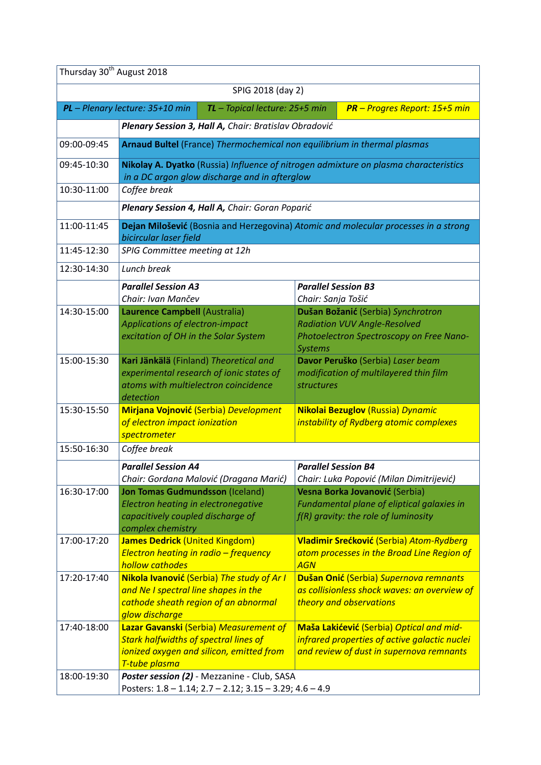|             | SPIG 2018 (day 2)                                                                                                                                   |                                                                                                                                         |                                                                                                                                       |  |
|-------------|-----------------------------------------------------------------------------------------------------------------------------------------------------|-----------------------------------------------------------------------------------------------------------------------------------------|---------------------------------------------------------------------------------------------------------------------------------------|--|
|             | PL - Plenary lecture: 35+10 min<br>$TL$ – Topical lecture: 25+5 min                                                                                 |                                                                                                                                         | <b>PR</b> - Progres Report: 15+5 min                                                                                                  |  |
|             | Plenary Session 3, Hall A, Chair: Bratislav Obradović                                                                                               |                                                                                                                                         |                                                                                                                                       |  |
| 09:00-09:45 | Arnaud Bultel (France) Thermochemical non equilibrium in thermal plasmas                                                                            |                                                                                                                                         |                                                                                                                                       |  |
| 09:45-10:30 | Nikolay A. Dyatko (Russia) Influence of nitrogen admixture on plasma characteristics<br>in a DC argon glow discharge and in afterglow               |                                                                                                                                         |                                                                                                                                       |  |
| 10:30-11:00 | Coffee break                                                                                                                                        |                                                                                                                                         |                                                                                                                                       |  |
|             | Plenary Session 4, Hall A, Chair: Goran Poparić                                                                                                     |                                                                                                                                         |                                                                                                                                       |  |
| 11:00-11:45 | Dejan Milošević (Bosnia and Herzegovina) Atomic and molecular processes in a strong<br>bicircular laser field                                       |                                                                                                                                         |                                                                                                                                       |  |
| 11:45-12:30 | SPIG Committee meeting at 12h                                                                                                                       |                                                                                                                                         |                                                                                                                                       |  |
| 12:30-14:30 | Lunch break                                                                                                                                         |                                                                                                                                         |                                                                                                                                       |  |
|             | <b>Parallel Session A3</b><br>Chair: Ivan Mančev                                                                                                    | <b>Parallel Session B3</b><br>Chair: Sanja Tošić                                                                                        |                                                                                                                                       |  |
| 14:30-15:00 | Laurence Campbell (Australia)<br>Applications of electron-impact<br>excitation of OH in the Solar System                                            | Dušan Božanić (Serbia) Synchrotron<br><b>Radiation VUV Angle-Resolved</b><br>Photoelectron Spectroscopy on Free Nano-<br><b>Systems</b> |                                                                                                                                       |  |
| 15:00-15:30 | Kari Jänkälä (Finland) Theoretical and<br>experimental research of ionic states of<br>atoms with multielectron coincidence<br>detection             | Davor Peruško (Serbia) Laser beam<br>modification of multilayered thin film<br><b>structures</b>                                        |                                                                                                                                       |  |
| 15:30-15:50 | <b>Mirjana Vojnović (Serbia) Development</b><br>of electron impact ionization<br>spectrometer                                                       | Nikolai Bezuglov (Russia) Dynamic<br>instability of Rydberg atomic complexes                                                            |                                                                                                                                       |  |
| 15:50-16:30 | Coffee break                                                                                                                                        |                                                                                                                                         |                                                                                                                                       |  |
|             | <b>Parallel Session A4</b><br>Chair: Gordana Malović (Dragana Marić)                                                                                | <b>Parallel Session B4</b>                                                                                                              | Chair: Luka Popović (Milan Dimitrijević)                                                                                              |  |
| 16:30-17:00 | <b>Jon Tomas Gudmundsson (Iceland)</b><br>Electron heating in electronegative<br>capacitively coupled discharge of<br>complex chemistry             | Vesna Borka Jovanović (Serbia)<br>Fundamental plane of eliptical galaxies in<br>$f(R)$ gravity: the role of luminosity                  |                                                                                                                                       |  |
| 17:00-17:20 | James Dedrick (United Kingdom)<br>Electron heating in radio - frequency<br>hollow cathodes                                                          | Vladimir Srećković (Serbia) Atom-Rydberg<br>atom processes in the Broad Line Region of<br><b>AGN</b>                                    |                                                                                                                                       |  |
| 17:20-17:40 | Nikola Ivanović (Serbia) The study of Ar I<br>and Ne I spectral line shapes in the<br>cathode sheath region of an abnormal<br>glow discharge        | Dušan Onić (Serbia) Supernova remnants<br>as collisionless shock waves: an overview of<br>theory and observations                       |                                                                                                                                       |  |
| 17:40-18:00 | Lazar Gavanski (Serbia) Measurement of<br><b>Stark halfwidths of spectral lines of</b><br>ionized oxygen and silicon, emitted from<br>T-tube plasma |                                                                                                                                         | Maša Lakićević (Serbia) Optical and mid-<br>infrared properties of active galactic nuclei<br>and review of dust in supernova remnants |  |
| 18:00-19:30 | Poster session (2) - Mezzanine - Club, SASA                                                                                                         |                                                                                                                                         |                                                                                                                                       |  |